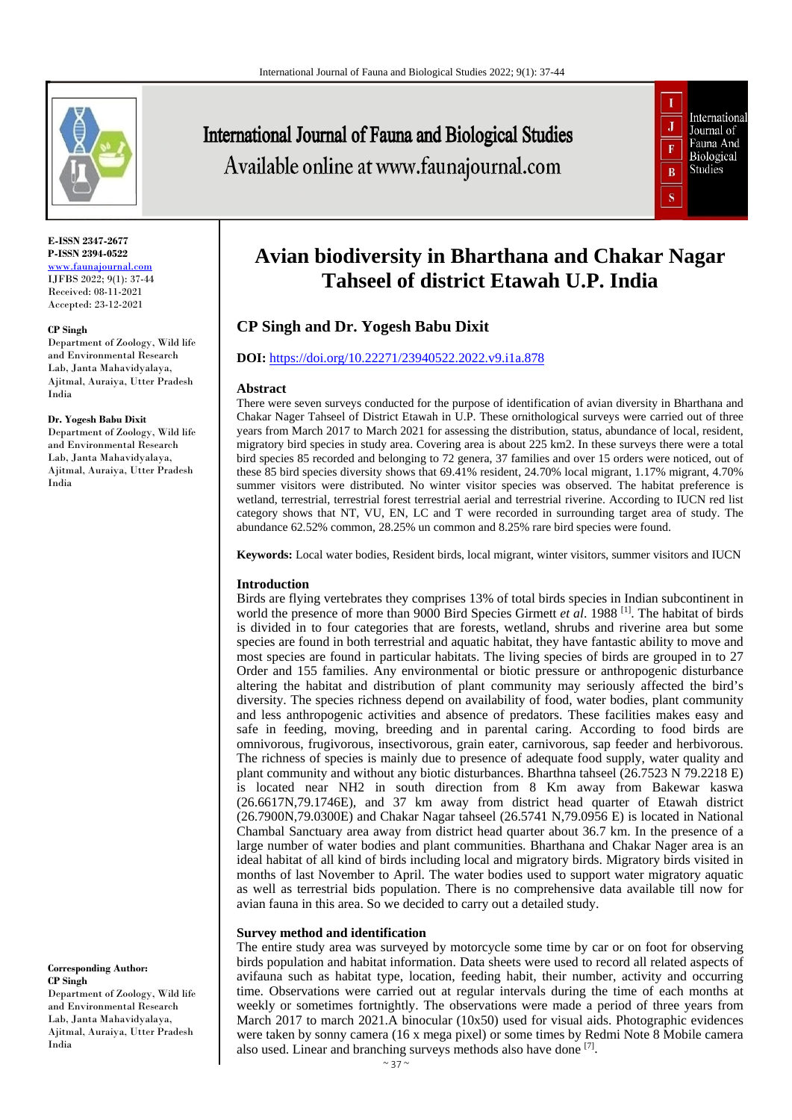

**E-ISSN 2347-2677 P-ISSN 2394-0522** [www.faunajournal.com](http://www.faunajournal.com/) IJFBS 2022; 9(1): 37-44 Received: 08-11-2021

Accepted: 23-12-2021

#### **CP Singh**

Department of Zoology, Wild life and Environmental Research Lab, Janta Mahavidyalaya, Ajitmal, Auraiya, Utter Pradesh India

#### **Dr. Yogesh Babu Dixit**

Department of Zoology, Wild life and Environmental Research Lab, Janta Mahavidyalaya, Ajitmal, Auraiya, Utter Pradesh India

**Corresponding Author: CP Singh** 

Department of Zoology, Wild life and Environmental Research Lab, Janta Mahavidyalaya, Ajitmal, Auraiya, Utter Pradesh India

# International Journal of Fauna and Biological Studies Available online at www.faunajournal.com



# **Avian biodiversity in Bharthana and Chakar Nagar Tahseel of district Etawah U.P. India**

# **CP Singh and Dr. Yogesh Babu Dixit**

# **DOI:** <https://doi.org/10.22271/23940522.2022.v9.i1a.878>

#### **Abstract**

There were seven surveys conducted for the purpose of identification of avian diversity in Bharthana and Chakar Nager Tahseel of District Etawah in U.P. These ornithological surveys were carried out of three years from March 2017 to March 2021 for assessing the distribution, status, abundance of local, resident, migratory bird species in study area. Covering area is about 225 km2. In these surveys there were a total bird species 85 recorded and belonging to 72 genera, 37 families and over 15 orders were noticed, out of these 85 bird species diversity shows that 69.41% resident, 24.70% local migrant, 1.17% migrant, 4.70% summer visitors were distributed. No winter visitor species was observed. The habitat preference is wetland, terrestrial, terrestrial forest terrestrial aerial and terrestrial riverine. According to IUCN red list category shows that NT, VU, EN, LC and T were recorded in surrounding target area of study. The abundance 62.52% common, 28.25% un common and 8.25% rare bird species were found.

**Keywords:** Local water bodies, Resident birds, local migrant, winter visitors, summer visitors and IUCN

## **Introduction**

Birds are flying vertebrates they comprises 13% of total birds species in Indian subcontinent in world the presence of more than 9000 Bird Species Girmett *et al*. 1988 [1]. The habitat of birds is divided in to four categories that are forests, wetland, shrubs and riverine area but some species are found in both terrestrial and aquatic habitat, they have fantastic ability to move and most species are found in particular habitats. The living species of birds are grouped in to 27 Order and 155 families. Any environmental or biotic pressure or anthropogenic disturbance altering the habitat and distribution of plant community may seriously affected the bird's diversity. The species richness depend on availability of food, water bodies, plant community and less anthropogenic activities and absence of predators. These facilities makes easy and safe in feeding, moving, breeding and in parental caring. According to food birds are omnivorous, frugivorous, insectivorous, grain eater, carnivorous, sap feeder and herbivorous. The richness of species is mainly due to presence of adequate food supply, water quality and plant community and without any biotic disturbances. Bharthna tahseel (26.7523 N 79.2218 E) is located near NH2 in south direction from 8 Km away from Bakewar kaswa (26.6617N,79.1746E), and 37 km away from district head quarter of Etawah district (26.7900N,79.0300E) and Chakar Nagar tahseel (26.5741 N,79.0956 E) is located in National Chambal Sanctuary area away from district head quarter about 36.7 km. In the presence of a large number of water bodies and plant communities. Bharthana and Chakar Nager area is an ideal habitat of all kind of birds including local and migratory birds. Migratory birds visited in months of last November to April. The water bodies used to support water migratory aquatic as well as terrestrial bids population. There is no comprehensive data available till now for avian fauna in this area. So we decided to carry out a detailed study.

# **Survey method and identification**

The entire study area was surveyed by motorcycle some time by car or on foot for observing birds population and habitat information. Data sheets were used to record all related aspects of avifauna such as habitat type, location, feeding habit, their number, activity and occurring time. Observations were carried out at regular intervals during the time of each months at weekly or sometimes fortnightly. The observations were made a period of three years from March 2017 to march 2021.A binocular (10x50) used for visual aids. Photographic evidences were taken by sonny camera (16 x mega pixel) or some times by Redmi Note 8 Mobile camera also used. Linear and branching surveys methods also have done [7].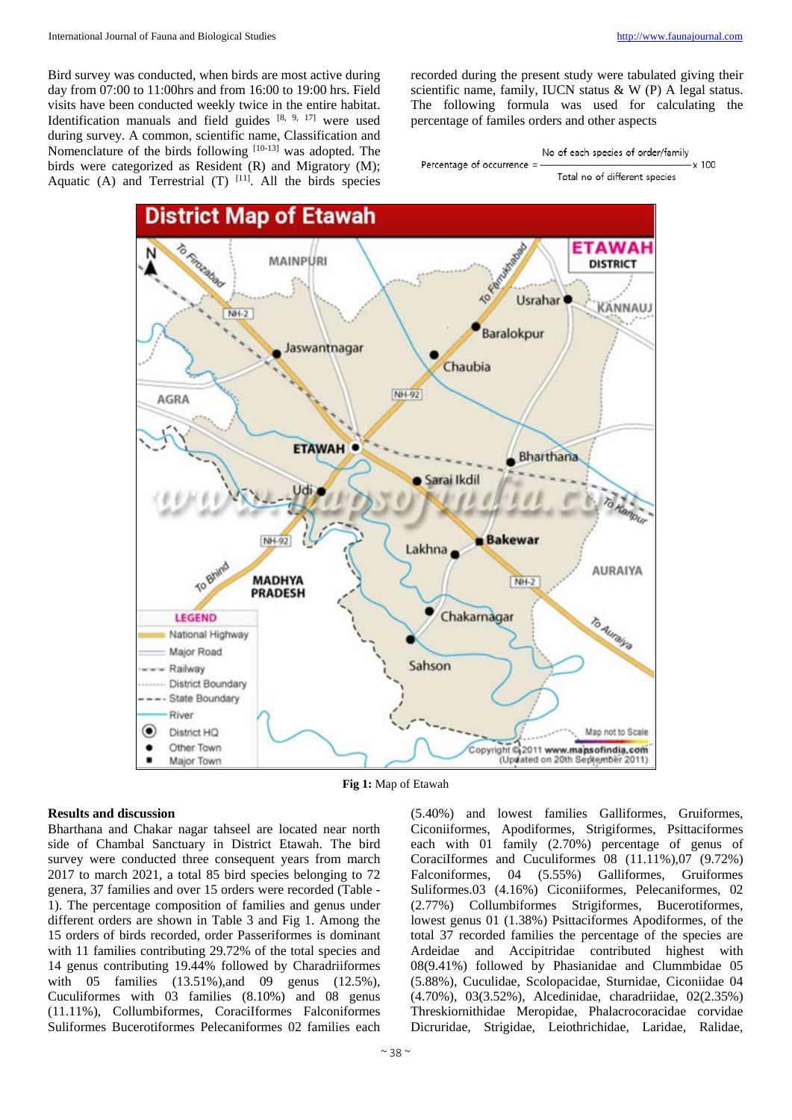Bird survey was conducted, when birds are most active during day from 07:00 to 11:00hrs and from 16:00 to 19:00 hrs. Field visits have been conducted weekly twice in the entire habitat. Identification manuals and field guides [8, 9, 17] were used during survey. A common, scientific name, Classification and Nomenclature of the birds following [10-13] was adopted. The birds were categorized as Resident (R) and Migratory (M); Aquatic (A) and Terrestrial  $(T)$  [11]. All the birds species recorded during the present study were tabulated giving their scientific name, family, IUCN status & W (P) A legal status. The following formula was used for calculating the percentage of familes orders and other aspects



Total no of different species



**Fig 1:** Map of Etawah

#### **Results and discussion**

Bharthana and Chakar nagar tahseel are located near north side of Chambal Sanctuary in District Etawah. The bird survey were conducted three consequent years from march 2017 to march 2021, a total 85 bird species belonging to 72 genera, 37 families and over 15 orders were recorded (Table - 1). The percentage composition of families and genus under different orders are shown in Table 3 and Fig 1. Among the 15 orders of birds recorded, order Passeriformes is dominant with 11 families contributing 29.72% of the total species and 14 genus contributing 19.44% followed by Charadriiformes with 05 families (13.51%), and 09 genus (12.5%), Cuculiformes with 03 families (8.10%) and 08 genus (11.11%), Collumbiformes, CoraciIformes Falconiformes Suliformes Bucerotiformes Pelecaniformes 02 families each

 $\sim$  38  $\sim$ 

(5.40%) and lowest families Galliformes, Gruiformes, Ciconiiformes, Apodiformes, Strigiformes, Psittaciformes each with 01 family (2.70%) percentage of genus of CoraciIformes and Cuculiformes 08 (11.11%),07 (9.72%) Falconiformes, 04 (5.55%) Galliformes, Gruiformes Suliformes.03 (4.16%) Ciconiiformes, Pelecaniformes, 02 (2.77%) Collumbiformes Strigiformes, Bucerotiformes, lowest genus 01 (1.38%) Psittaciformes Apodiformes, of the total 37 recorded families the percentage of the species are Ardeidae and Accipitridae contributed highest with 08(9.41%) followed by Phasianidae and Clummbidae 05 (5.88%), Cuculidae, Scolopacidae, Sturnidae, Ciconiidae 04 (4.70%), 03(3.52%), Alcedinidae, charadriidae, 02(2.35%) Threskiornithidae Meropidae, Phalacrocoracidae corvidae Dicruridae, Strigidae, Leiothrichidae, Laridae, Ralidae,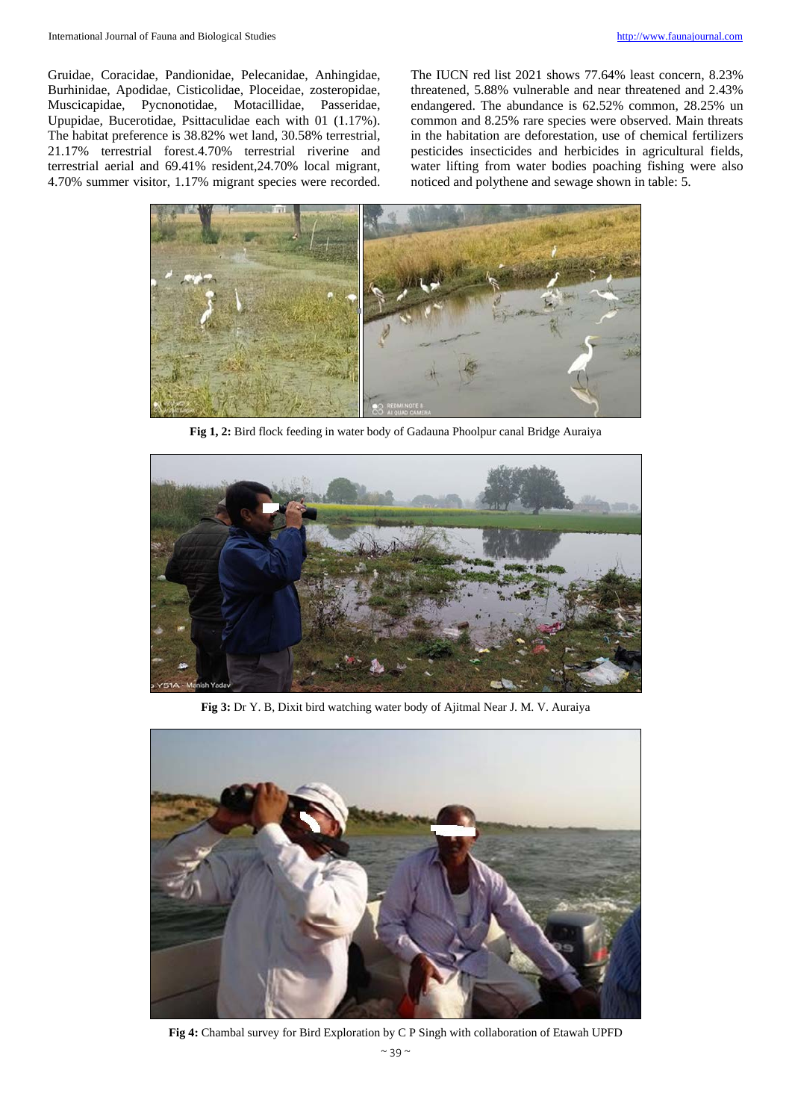Gruidae, Coracidae, Pandionidae, Pelecanidae, Anhingidae, Burhinidae, Apodidae, Cisticolidae, Ploceidae, zosteropidae, Muscicapidae, Pycnonotidae, Motacillidae, Passeridae, Upupidae, Bucerotidae, Psittaculidae each with 01 (1.17%). The habitat preference is 38.82% wet land, 30.58% terrestrial, 21.17% terrestrial forest.4.70% terrestrial riverine and terrestrial aerial and 69.41% resident,24.70% local migrant, 4.70% summer visitor, 1.17% migrant species were recorded.

The IUCN red list 2021 shows 77.64% least concern, 8.23% threatened, 5.88% vulnerable and near threatened and 2.43% endangered. The abundance is 62.52% common, 28.25% un common and 8.25% rare species were observed. Main threats in the habitation are deforestation, use of chemical fertilizers pesticides insecticides and herbicides in agricultural fields, water lifting from water bodies poaching fishing were also noticed and polythene and sewage shown in table: 5.



**Fig 1, 2:** Bird flock feeding in water body of Gadauna Phoolpur canal Bridge Auraiya



**Fig 3:** Dr Y. B, Dixit bird watching water body of Ajitmal Near J. M. V. Auraiya



**Fig 4:** Chambal survey for Bird Exploration by C P Singh with collaboration of Etawah UPFD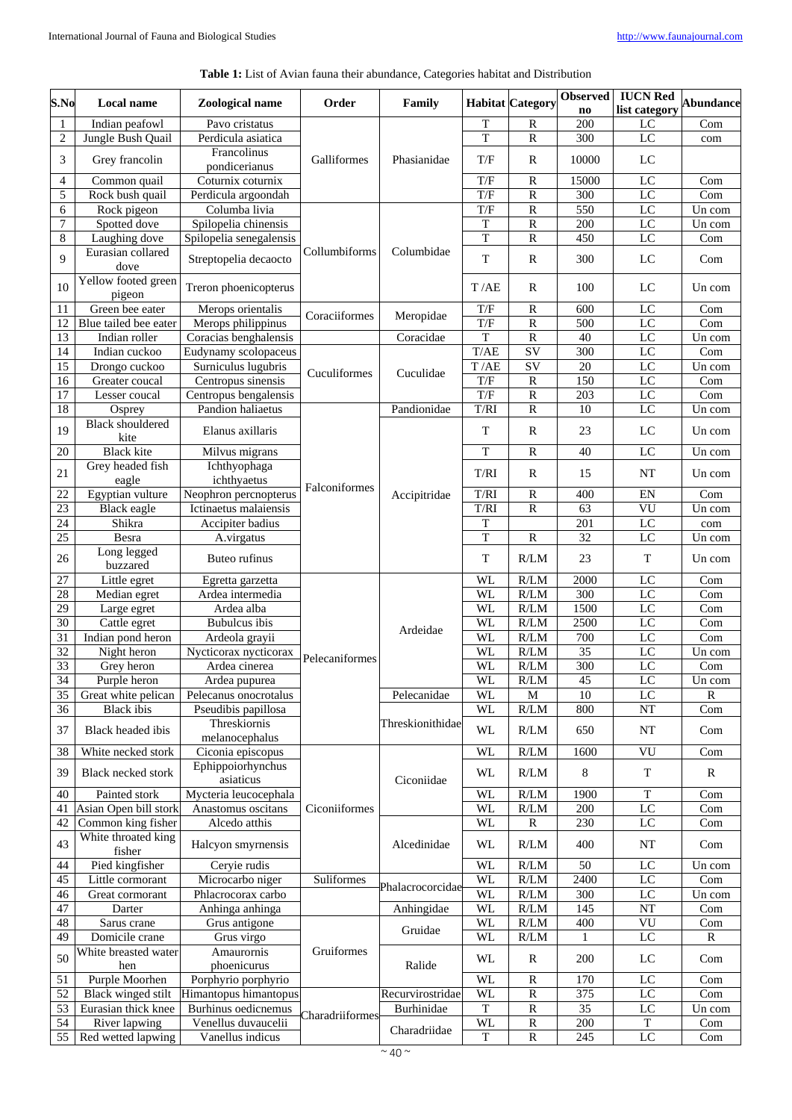| Table 1: List of Avian fauna their abundance, Categories habitat and Distribution |  |
|-----------------------------------------------------------------------------------|--|
|-----------------------------------------------------------------------------------|--|

| S.No             | Local name                      | Zoological name                | Order           | Family                         |                          | <b>Habitat</b> Category           | <b>Observed</b><br>$\mathbf{n}\mathbf{o}$ | <b>IUCN Red</b><br>list category | <b>Abundance</b>     |
|------------------|---------------------------------|--------------------------------|-----------------|--------------------------------|--------------------------|-----------------------------------|-------------------------------------------|----------------------------------|----------------------|
| $\mathbf{1}$     | Indian peafowl                  | Pavo cristatus                 |                 |                                | $\mathbf T$              | $\mathbb{R}$                      | 200                                       | LC                               | Com                  |
| $\overline{c}$   | Jungle Bush Quail               | Perdicula asiatica             |                 |                                | T                        | $\mathbb{R}$                      | 300                                       | LC                               | com                  |
| 3                | Grey francolin                  | Francolinus<br>pondicerianus   | Galliformes     | Phasianidae                    | T/F                      | $\mathbb{R}$                      | 10000                                     | LC                               |                      |
| 4                | Common quail                    | Coturnix coturnix              |                 |                                | T/F                      | ${\bf R}$                         | 15000                                     | LC                               | Com                  |
| 5                | Rock bush quail                 | Perdicula argoondah            |                 |                                | T/F                      | R                                 | 300                                       | LC                               | Com                  |
| 6                | Rock pigeon                     | Columba livia                  |                 |                                | T/F                      | ${\bf R}$                         | 550                                       | LC                               | Un com               |
| $\boldsymbol{7}$ | Spotted dove                    | Spilopelia chinensis           |                 |                                | T                        | $\mathbb{R}$                      | 200                                       | LC                               | Un com               |
| 8                | Laughing dove                   | Spilopelia senegalensis        |                 |                                | $\rm T$                  | $\overline{R}$                    | 450                                       | $\overline{LC}$                  | Com                  |
| 9                | Eurasian collared<br>dove       | Streptopelia decaocto          | Collumbiforms   | Columbidae                     | T                        | $\mathbb{R}$                      | 300                                       | LC                               | Com                  |
| 10               | Yellow footed green<br>pigeon   | Treron phoenicopterus          |                 |                                | T/AE                     | R                                 | 100                                       | LC                               | Un com               |
| 11               | Green bee eater                 | Merops orientalis              | Coraciiformes   | Meropidae                      | T/F                      | $\mathbb{R}$                      | 600                                       | LC                               | Com                  |
| 12               | Blue tailed bee eater           | Merops philippinus             |                 |                                | T/F                      | $\overline{R}$                    | 500                                       | LC                               | Com                  |
| $\overline{13}$  | Indian roller                   | Coracias benghalensis          |                 | $\overline{\text{C}}$ oracidae | T                        | $\mathbb{R}$                      | 40                                        | LC                               | Un com               |
| 14               | Indian cuckoo                   | Eudynamy scolopaceus           |                 |                                | T/AE                     | $\overline{SV}$                   | 300                                       | $_{\rm LC}$                      | Com                  |
| 15               | Drongo cuckoo                   | Surniculus lugubris            | Cuculiformes    | Cuculidae                      | T/AE                     | SV                                | $20\,$                                    | ${\rm LC}$                       | Un com               |
| 16               | Greater coucal                  | Centropus sinensis             |                 |                                | T/F                      | $\mathbb{R}$                      | 150                                       | LC                               | Com                  |
| $\overline{17}$  | Lesser coucal                   | Centropus bengalensis          |                 |                                | T/F                      | $\overline{R}$                    | $\overline{203}$                          | LC                               | Com                  |
| $\overline{18}$  | Osprey                          | Pandion haliaetus              |                 | Pandionidae                    | T/RI                     | $\mathbb{R}$                      | 10                                        | LC                               | Un com               |
| 19               | <b>Black shouldered</b><br>kite | Elanus axillaris               |                 |                                | T                        | $\mathbf R$                       | 23                                        | LC                               | Un com               |
| 20               | <b>Black kite</b>               | Milvus migrans                 |                 |                                | T                        | $\mathbf R$                       | 40                                        | LC                               | Un com               |
| 21               | Grey headed fish<br>eagle       | Ichthyophaga<br>ichthyaetus    |                 | Accipitridae                   | T/RI                     | R                                 | 15                                        | NT                               | Un com               |
| 22               | Egyptian vulture                | Neophron percnopterus          | Falconiformes   |                                | $\mathrm{T}/\mathrm{RI}$ | R                                 | 400                                       | EN                               | Com                  |
| 23               | Black eagle                     | Ictinaetus malaiensis          |                 |                                | T/RI                     | $\mathbb{R}$                      | 63                                        | VU                               | Un com               |
| 24               | Shikra                          | Accipiter badius               |                 |                                | T                        |                                   | 201                                       | $\overline{LC}$                  | com                  |
| 25               | Besra                           | A.virgatus                     |                 |                                | $\rm T$                  | $\overline{\mathbf{R}}$           | $\overline{32}$                           | $\overline{LC}$                  | $\overline{U}$ n com |
| $26\,$           | Long legged<br>buzzared         | Buteo rufinus                  |                 |                                | $\mathbf T$              | R/LM                              | 23                                        | $\mathbf T$                      | Un com               |
| 27               | Little egret                    | Egretta garzetta               |                 |                                | <b>WL</b>                | R/LM                              | 2000                                      | LC                               | Com                  |
| $\overline{28}$  | Median egret                    | Ardea intermedia               |                 |                                | WL                       | R/LM                              | $\overline{300}$                          | LC                               | Com                  |
| $\overline{29}$  | Large egret                     | Ardea alba                     |                 |                                | WL                       | R/LM                              | 1500                                      | $_{\rm LC}$                      | Com                  |
| 30               | Cattle egret                    | <b>Bubulcus</b> ibis           |                 |                                | <b>WL</b>                | R/LM                              | 2500                                      | $_{\rm LC}$                      | Com                  |
| 31               | Indian pond heron               | Ardeola grayii                 |                 | Ardeidae                       | WL                       | R/LM                              | 700                                       | LC                               | Com                  |
| 32               | Night heron                     | Nycticorax nycticorax          | Pelecaniformes  |                                | WL                       | R/LM                              | 35                                        | LC                               | Un com               |
| 33               | Grey heron                      | Ardea cinerea                  |                 |                                | WL                       | R/LM                              | 300                                       | LC                               | Com                  |
| $\overline{34}$  | Purple heron                    | Ardea pupurea                  |                 |                                | WL                       | $\mathbb{R}/\mathbb{L}\mathbb{M}$ | $45\,$                                    | $\overline{LC}$                  | Un com               |
| 35               | Great white pelican             | Pelecanus onocrotalus          |                 | Pelecanidae                    | WL                       | M                                 | 10                                        | LC                               | R                    |
| 36               | <b>Black</b> ibis               | Pseudibis papillosa            |                 |                                | WL                       | R/LM                              | 800                                       | NT                               | Com                  |
| 37               | Black headed ibis               | Threskiornis<br>melanocephalus |                 | Threskionithidae               | WL                       | R/LM                              | 650                                       | NT                               | Com                  |
| 38               | White necked stork              | Ciconia episcopus              |                 |                                | <b>WL</b>                | R/LM                              | 1600                                      | <b>VU</b>                        | Com                  |
| 39               | Black necked stork              | Ephippoiorhynchus<br>asiaticus |                 | Ciconiidae                     | WL                       | $R/LM$                            | 8                                         | T                                | $\mathbb{R}$         |
| 40               | Painted stork                   | Mycteria leucocephala          |                 |                                | WL                       | R/LM                              | 1900                                      | $\mathbf T$                      | $\overline{Com}$     |
| 41               | Asian Open bill stork           | Anastomus oscitans             | Ciconiiformes   |                                | WL                       | R/LM                              | 200                                       | $_{\rm LC}$                      | Com                  |
| 42               | Common king fisher              | Alcedo atthis                  |                 |                                | WL                       | R                                 | 230                                       | LC                               | Com                  |
| 43               | White throated king<br>fisher   | Halcyon smyrnensis             |                 | Alcedinidae                    | WL                       | R/LM                              | 400                                       | NT                               | Com                  |
| 44               | Pied kingfisher                 | Ceryie rudis                   |                 |                                | WL                       | R/LM                              | 50                                        | LC                               | Un com               |
| 45               | Little cormorant                | Microcarbo niger               | Suliformes      |                                | <b>WL</b>                | R/LM                              | 2400                                      | LC                               | Com                  |
| 46               | Great cormorant                 | Phlacrocorax carbo             |                 | Phalacrocorcidae               | WL                       | R/LM                              | 300                                       | LC                               | Un com               |
| 47               | Darter                          | Anhinga anhinga                |                 | Anhingidae                     | <b>WL</b>                | R/LM                              | 145                                       | NT                               | Com                  |
| 48               | Sarus crane                     | Grus antigone                  |                 |                                | <b>WL</b>                | R/LM                              | 400                                       | VU                               | Com                  |
| 49               | Domicile crane                  | Grus virgo                     |                 | Gruidae                        | WL                       | R/LM                              | 1                                         | LC                               | $\mathbb{R}$         |
| 50               | White breasted water<br>hen     | Amaurornis<br>phoenicurus      | Gruiformes      | Ralide                         | WL                       | R                                 | 200                                       | LC                               | Com                  |
| 51               | Purple Moorhen                  | Porphyrio porphyrio            |                 |                                | WL                       | R                                 | 170                                       | LC                               | Com                  |
| 52               | Black winged stilt              | Himantopus himantopus          |                 | Recurvirostridae               | <b>WL</b>                | R                                 | 375                                       | LC                               | Com                  |
| 53               | Eurasian thick knee             | Burhinus oedicnemus            |                 | Burhinidae                     | $\mathbf T$              | ${\mathbb R}$                     | 35                                        | LC                               | Un com               |
| 54               | River lapwing                   | Venellus duvaucelii            | Charadriiformes |                                | WL                       | ${\mathbb R}$                     | 200                                       | T                                | Com                  |
| 55               | Red wetted lapwing              | Vanellus indicus               |                 | Charadriidae                   | T                        | R                                 | 245                                       | $_{\rm LC}$                      | Com                  |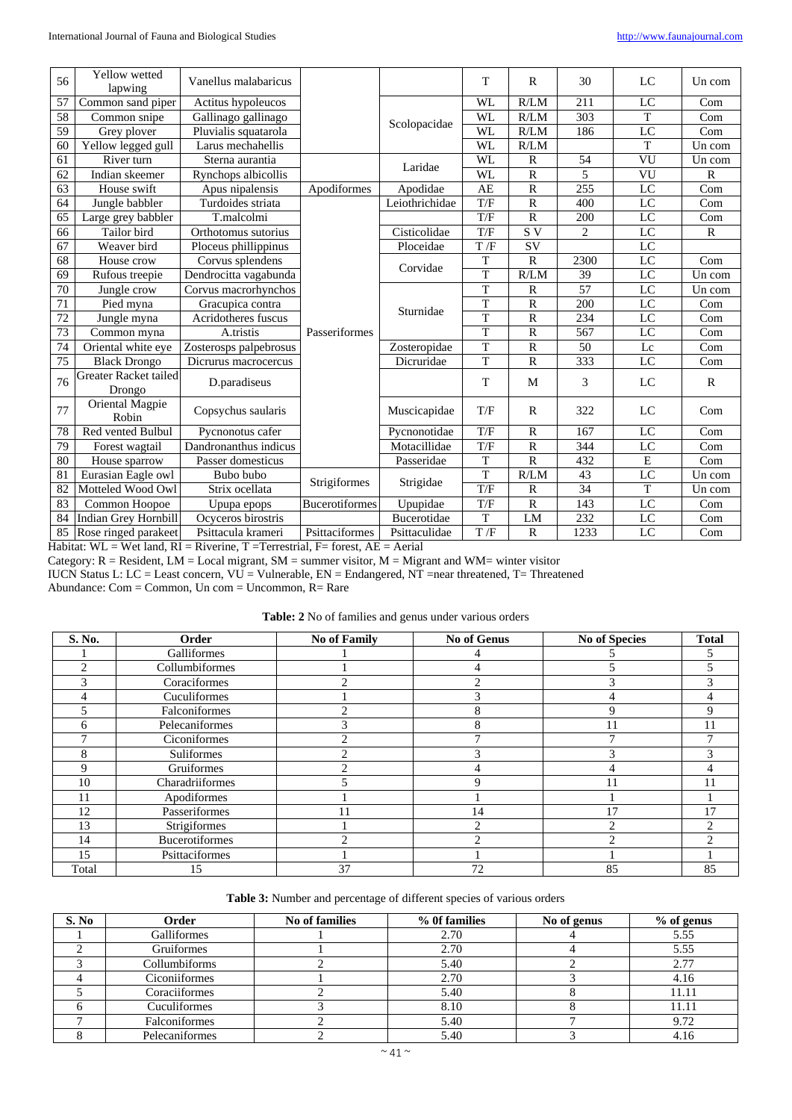| 56 | Yellow wetted<br>lapwing        | Vanellus malabaricus           |                       |                | T                | $\mathbb{R}$   | 30   | LC              | Un com       |
|----|---------------------------------|--------------------------------|-----------------------|----------------|------------------|----------------|------|-----------------|--------------|
| 57 | Common sand piper               | Actitus hypoleucos             |                       |                | WL               | R/LM           | 211  | LC              | Com          |
| 58 | Common snipe                    | Gallinago gallinago            |                       | Scolopacidae   | <b>WL</b>        | R/LM           | 303  | $\mathbf T$     | Com          |
| 59 | Grey plover                     | Pluvialis squatarola           |                       |                | WL               | R/LM           | 186  | LC              | Com          |
| 60 | Yellow legged gull              | Larus mechahellis              |                       |                | WL               | R/LM           |      | T               | Un com       |
| 61 | River turn                      | Sterna aurantia                |                       | Laridae        | WL               | $\mathbb{R}$   | 54   | VU              | Un com       |
| 62 | Indian skeemer                  | Rynchops albicollis            |                       |                | <b>WL</b>        | $\mathbf R$    | 5    | VU              | $\mathbb{R}$ |
| 63 | House swift                     | Apus nipalensis                | Apodiformes           | Apodidae       | AE               | $\mathbb{R}$   | 255  | LC              | Com          |
| 64 | Jungle babbler                  | Turdoides striata              |                       | Leiothrichidae | T/F              | $\mathbb{R}$   | 400  | LC              | Com          |
| 65 | Large grey babbler              | T.malcolmi                     |                       |                | T/F              | $\mathbf R$    | 200  | LC              | Com          |
| 66 | Tailor bird                     | Orthotomus sutorius            |                       | Cisticolidae   | $T/\overline{F}$ | S <sub>V</sub> | 2    | LC              | $\mathbb{R}$ |
| 67 | Weaver bird                     | Ploceus phillippinus           |                       | Ploceidae      | T/F              | SV             |      | LC              |              |
| 68 | House crow                      | Corvus splendens               |                       | Corvidae       | T                | $\mathbb{R}$   | 2300 | LC              | Com          |
| 69 | Rufous treepie                  | Dendrocitta vagabunda          |                       |                | $\overline{T}$   | R/LM           | 39   | LC              | Un com       |
| 70 | Jungle crow                     | Corvus macrorhynchos           |                       |                | T                | $\mathbb{R}$   | 57   | LC              | Un com       |
| 71 | Pied myna                       | Gracupica contra               |                       | Sturnidae      | $\mathbf T$      | $\mathbb{R}$   | 200  | LC              | Com          |
| 72 | Jungle myna                     | Acridotheres fuscus            |                       |                | $\overline{T}$   | $\overline{R}$ | 234  | LC              | Com          |
| 73 | Common myna                     | A.tristis                      | Passeriformes         |                | $\mathbf T$      | $\mathbb{R}$   | 567  | LC              | Com          |
| 74 | Oriental white eye              | Zosterosps palpebrosus         |                       | Zosteropidae   | $\overline{T}$   | $\mathbb{R}$   | 50   | Lc              | Com          |
| 75 | <b>Black Drongo</b>             | Dicrurus macrocercus           |                       | Dicruridae     | T                | $\mathbb{R}$   | 333  | $\overline{LC}$ | Com          |
| 76 | Greater Racket tailed<br>Drongo | D.paradiseus                   |                       |                | T                | M              | 3    | LC              | $\mathbb{R}$ |
| 77 | Oriental Magpie<br>Robin        | Copsychus saularis             |                       | Muscicapidae   | T/F              | $\mathbb{R}$   | 322  | LC              | Com          |
| 78 | Red vented Bulbul               | Pycnonotus cafer               |                       | Pycnonotidae   | T/F              | $\mathbb{R}$   | 167  | LC              | Com          |
| 79 | Forest wagtail                  | Dandronanthus indicus          |                       | Motacillidae   | T/F              | $\mathbf R$    | 344  | LC              | Com          |
| 80 | House sparrow                   | Passer domesticus              |                       | Passeridae     | $\mathbf T$      | $\mathbb{R}$   | 432  | E               | Com          |
| 81 | Eurasian Eagle owl              | Bubo bubo                      |                       |                | $\mathbf T$      | R/LM           | 43   | LC              | Un com       |
| 82 | Motteled Wood Owl               | Strigiformes<br>Strix ocellata |                       | Strigidae      | T/F              | $\mathbf R$    | 34   | $\mathbf T$     | Un com       |
| 83 | Common Hoopoe                   | Upupa epops                    | <b>Bucerotiformes</b> | Upupidae       | T/F              | $\mathbf R$    | 143  | $\overline{LC}$ | Com          |
| 84 | Indian Grey Hornbill            | Ocyceros birostris             |                       | Bucerotidae    | T                | LM             | 232  | LC              | Com          |
| 85 | Rose ringed parakeet            | Psittacula krameri             | Psittaciformes        | Psittaculidae  | T/F              | $\mathbb{R}$   | 1233 | LC              | Com          |

 $H$ abitat: WL = Wet land, RI = Riverine, T = Terrestrial, F = forest, AE = Aerial

Category:  $R =$  Resident,  $LM =$  Local migrant,  $SM =$  summer visitor,  $M =$  Migrant and WM= winter visitor

IUCN Status L: LC = Least concern, VU = Vulnerable, EN = Endangered, NT =near threatened, T= Threatened

Abundance: Com = Common, Un com = Uncommon, R= Rare

# **Table: 2** No of families and genus under various orders

| S. No. | Order                 | <b>No of Family</b>                                                                                                                                                                                                                                                                                                                                                                                         | <b>No of Genus</b> | <b>No of Species</b> | <b>Total</b> |
|--------|-----------------------|-------------------------------------------------------------------------------------------------------------------------------------------------------------------------------------------------------------------------------------------------------------------------------------------------------------------------------------------------------------------------------------------------------------|--------------------|----------------------|--------------|
|        | Galliformes           |                                                                                                                                                                                                                                                                                                                                                                                                             |                    |                      | 5            |
| ◠      | Collumbiformes        |                                                                                                                                                                                                                                                                                                                                                                                                             |                    |                      | 5            |
|        | Coraciformes          | ◠                                                                                                                                                                                                                                                                                                                                                                                                           | ◠                  |                      | 3            |
|        | Cuculiformes          |                                                                                                                                                                                                                                                                                                                                                                                                             |                    |                      | 4            |
|        | Falconiformes         | ◠                                                                                                                                                                                                                                                                                                                                                                                                           | 8                  |                      | 9            |
| h      | Pelecaniformes        | 3                                                                                                                                                                                                                                                                                                                                                                                                           | 8                  |                      | 11           |
|        | Ciconiformes          | $\mathfrak{D}_{1}^{(1)} = \mathfrak{D}_{2}^{(1)} = \mathfrak{D}_{2}^{(1)} = \mathfrak{D}_{2}^{(1)} = \mathfrak{D}_{2}^{(1)} = \mathfrak{D}_{2}^{(1)} = \mathfrak{D}_{2}^{(1)} = \mathfrak{D}_{2}^{(1)} = \mathfrak{D}_{2}^{(1)} = \mathfrak{D}_{2}^{(1)} = \mathfrak{D}_{2}^{(1)} = \mathfrak{D}_{2}^{(1)} = \mathfrak{D}_{2}^{(1)} = \mathfrak{D}_{2}^{(1)} = \mathfrak{D}_{2}^{(1)} = \mathfrak{D}_{2}^{$ |                    |                      |              |
| 8      | Suliformes            | $\mathfrak{D}$                                                                                                                                                                                                                                                                                                                                                                                              |                    |                      | 3            |
| 9      | Gruiformes            | $\mathcal{D}$                                                                                                                                                                                                                                                                                                                                                                                               |                    |                      | 4            |
| 10     | Charadriiformes       |                                                                                                                                                                                                                                                                                                                                                                                                             | 9                  |                      | 11           |
| 11     | Apodiformes           |                                                                                                                                                                                                                                                                                                                                                                                                             |                    |                      |              |
| 12     | Passeriformes         | 11                                                                                                                                                                                                                                                                                                                                                                                                          | 14                 | 17                   | 17           |
| 13     | Strigiformes          |                                                                                                                                                                                                                                                                                                                                                                                                             | $\mathfrak{D}$     |                      | ↑            |
| 14     | <b>Bucerotiformes</b> | ◠                                                                                                                                                                                                                                                                                                                                                                                                           | ↑                  |                      | $\bigcap$    |
| 15     | Psittaciformes        |                                                                                                                                                                                                                                                                                                                                                                                                             |                    |                      |              |
| Total  | 15                    | 37                                                                                                                                                                                                                                                                                                                                                                                                          | 72                 | 85                   | 85           |

| S. No | Order          | No of families | % of families | No of genus | % of genus |
|-------|----------------|----------------|---------------|-------------|------------|
|       | Galliformes    |                | 2.70          |             | 5.55       |
|       | Gruiformes     |                | 2.70          |             | 5.55       |
|       | Collumbiforms  |                | 5.40          |             | 2.77       |
|       | Ciconiiformes  |                | 2.70          |             | 4.16       |
|       | Coraciiformes  |                | 5.40          |             | 11.11      |
|       | Cuculiformes   |                | 8.10          |             | 11.11      |
|       | Falconiformes  |                | 5.40          |             | 9.72       |
|       | Pelecaniformes |                | 5.40          |             | 4.16       |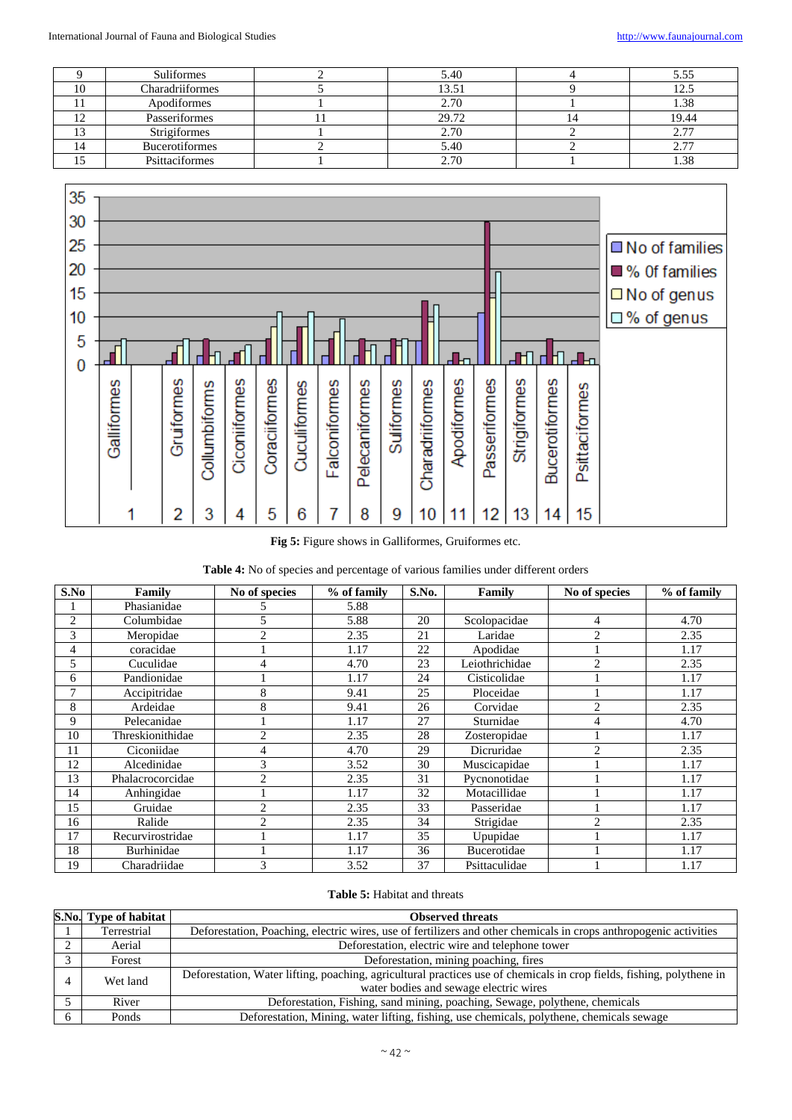|    | Suliformes            | 5.40  | 5.55        |
|----|-----------------------|-------|-------------|
| 10 | Charadriiformes       | 13.51 |             |
|    | Apodiformes           | 2.70  | 1.38        |
|    | Passeriformes         | 29.72 | 19.44       |
|    | Strigiformes          | 2.70  | רי ר<br>ر . |
|    | <b>Bucerotiformes</b> | 5.40  | ۷.          |
|    | Psittaciformes        | .70   | 1.38        |



**Fig 5:** Figure shows in Galliformes, Gruiformes etc.

| S.No           | Family           | No of species               | % of family | S.No. | Family         | No of species  | % of family |
|----------------|------------------|-----------------------------|-------------|-------|----------------|----------------|-------------|
|                | Phasianidae      |                             | 5.88        |       |                |                |             |
| $\overline{2}$ | Columbidae       | 5                           | 5.88        | 20    | Scolopacidae   | 4              | 4.70        |
| 3              | Meropidae        | 2                           | 2.35        | 21    | Laridae        | $\overline{c}$ | 2.35        |
| 4              | coracidae        |                             | 1.17        | 22    | Apodidae       |                | 1.17        |
| 5              | Cuculidae        | 4                           | 4.70        | 23    | Leiothrichidae | $\mathfrak{D}$ | 2.35        |
| 6              | Pandionidae      |                             | 1.17        | 24    | Cisticolidae   |                | 1.17        |
|                | Accipitridae     | 8                           | 9.41        | 25    | Ploceidae      |                | 1.17        |
| 8              | Ardeidae         | 8                           | 9.41        | 26    | Corvidae       | $\overline{c}$ | 2.35        |
| 9              | Pelecanidae      |                             | 1.17        | 27    | Sturnidae      | 4              | 4.70        |
| 10             | Threskionithidae | $\overline{c}$              | 2.35        | 28    | Zosteropidae   |                | 1.17        |
| 11             | Ciconiidae       | 4                           | 4.70        | 29    | Dicruridae     | $\overline{c}$ | 2.35        |
| 12             | Alcedinidae      | 3                           | 3.52        | 30    | Muscicapidae   |                | 1.17        |
| 13             | Phalacrocorcidae | $\mathcal{D}_{\mathcal{L}}$ | 2.35        | 31    | Pycnonotidae   |                | 1.17        |
| 14             | Anhingidae       |                             | 1.17        | 32    | Motacillidae   |                | 1.17        |
| 15             | Gruidae          | $\overline{c}$              | 2.35        | 33    | Passeridae     |                | 1.17        |
| 16             | Ralide           | 2                           | 2.35        | 34    | Strigidae      | $\overline{c}$ | 2.35        |
| 17             | Recurvirostridae |                             | 1.17        | 35    | Upupidae       |                | 1.17        |
| 18             | Burhinidae       |                             | 1.17        | 36    | Bucerotidae    |                | 1.17        |
| 19             | Charadriidae     | 3                           | 3.52        | 37    | Psittaculidae  |                | 1.17        |

# **Table 5:** Habitat and threats

|          | S.No. Type of habitat                                                                                                            | <b>Observed threats</b>                                                                                                                                         |  |  |  |  |
|----------|----------------------------------------------------------------------------------------------------------------------------------|-----------------------------------------------------------------------------------------------------------------------------------------------------------------|--|--|--|--|
|          | Deforestation, Poaching, electric wires, use of fertilizers and other chemicals in crops anthropogenic activities<br>Terrestrial |                                                                                                                                                                 |  |  |  |  |
| $\gamma$ | Deforestation, electric wire and telephone tower<br>Aerial                                                                       |                                                                                                                                                                 |  |  |  |  |
|          | Forest                                                                                                                           | Deforestation, mining poaching, fires                                                                                                                           |  |  |  |  |
|          | Wet land                                                                                                                         | Deforestation, Water lifting, poaching, agricultural practices use of chemicals in crop fields, fishing, polythene in<br>water bodies and sewage electric wires |  |  |  |  |
|          | River                                                                                                                            | Deforestation, Fishing, sand mining, poaching, Sewage, polythene, chemicals                                                                                     |  |  |  |  |
| 6        | Ponds                                                                                                                            | Deforestation, Mining, water lifting, fishing, use chemicals, polythene, chemicals sewage                                                                       |  |  |  |  |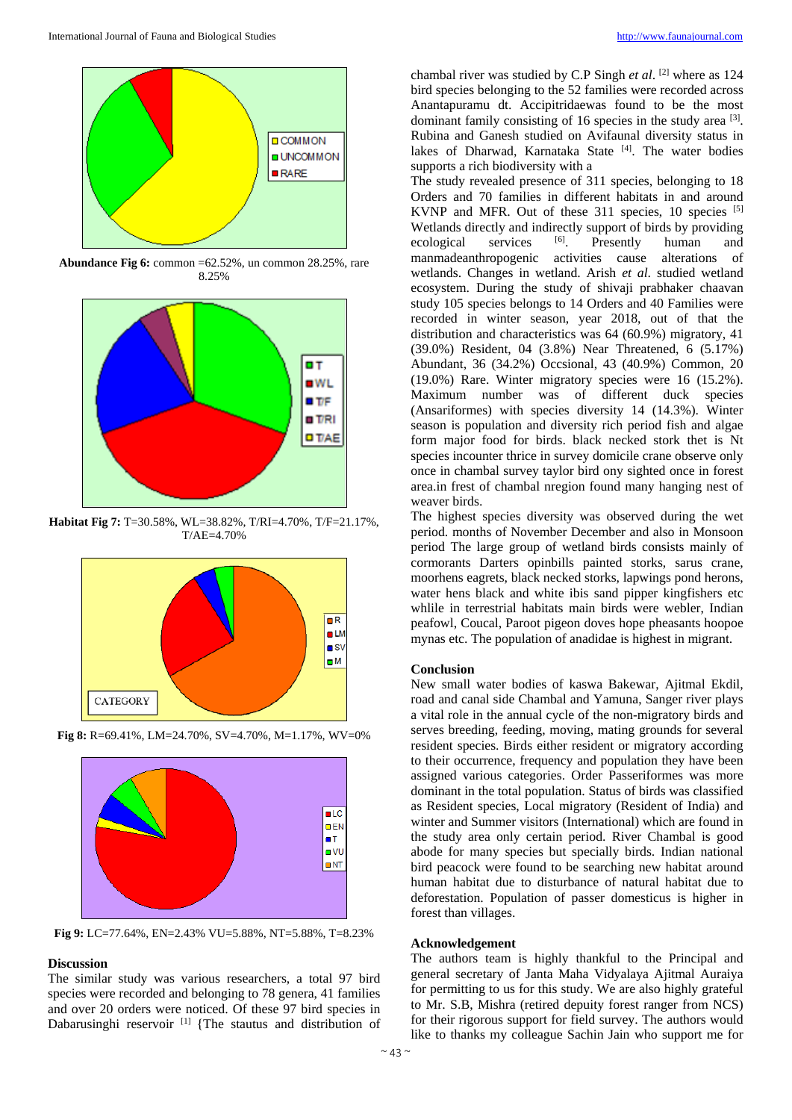

**Abundance Fig 6:** common =62.52%, un common 28.25%, rare 8.25%



**Habitat Fig 7:** T=30.58%, WL=38.82%, T/RI=4.70%, T/F=21.17%, T/AE=4.70%





**Fig 8:** R=69.41%, LM=24.70%, SV=4.70%, M=1.17%, WV=0%



# **Discussion**

The similar study was various researchers, a total 97 bird species were recorded and belonging to 78 genera, 41 families and over 20 orders were noticed. Of these 97 bird species in Dabarusinghi reservoir [1] {The stautus and distribution of

chambal river was studied by C.P Singh *et al*. [2] where as 124 bird species belonging to the 52 families were recorded across Anantapuramu dt. Accipitridaewas found to be the most dominant family consisting of 16 species in the study area [3]. Rubina and Ganesh studied on Avifaunal diversity status in lakes of Dharwad, Karnataka State<sup>[4]</sup>. The water bodies supports a rich biodiversity with a

The study revealed presence of 311 species, belonging to 18 Orders and 70 families in different habitats in and around KVNP and MFR. Out of these 311 species, 10 species [5] Wetlands directly and indirectly support of birds by providing ecological services [6]. Presently human and manmadeanthropogenic activities cause alterations of wetlands. Changes in wetland. Arish *et al*. studied wetland ecosystem. During the study of shivaji prabhaker chaavan study 105 species belongs to 14 Orders and 40 Families were recorded in winter season, year 2018, out of that the distribution and characteristics was 64 (60.9%) migratory, 41 (39.0%) Resident, 04 (3.8%) Near Threatened, 6 (5.17%) Abundant, 36 (34.2%) Occsional, 43 (40.9%) Common, 20 (19.0%) Rare. Winter migratory species were 16 (15.2%). Maximum number was of different duck species (Ansariformes) with species diversity 14 (14.3%). Winter season is population and diversity rich period fish and algae form major food for birds. black necked stork thet is Nt species incounter thrice in survey domicile crane observe only once in chambal survey taylor bird ony sighted once in forest area.in frest of chambal nregion found many hanging nest of weaver birds.

The highest species diversity was observed during the wet period. months of November December and also in Monsoon period The large group of wetland birds consists mainly of cormorants Darters opinbills painted storks, sarus crane, moorhens eagrets, black necked storks, lapwings pond herons, water hens black and white ibis sand pipper kingfishers etc whlile in terrestrial habitats main birds were webler, Indian peafowl, Coucal, Paroot pigeon doves hope pheasants hoopoe mynas etc. The population of anadidae is highest in migrant.

## **Conclusion**

New small water bodies of kaswa Bakewar, Ajitmal Ekdil, road and canal side Chambal and Yamuna, Sanger river plays a vital role in the annual cycle of the non-migratory birds and serves breeding, feeding, moving, mating grounds for several resident species. Birds either resident or migratory according to their occurrence, frequency and population they have been assigned various categories. Order Passeriformes was more dominant in the total population. Status of birds was classified as Resident species, Local migratory (Resident of India) and winter and Summer visitors (International) which are found in the study area only certain period. River Chambal is good abode for many species but specially birds. Indian national bird peacock were found to be searching new habitat around human habitat due to disturbance of natural habitat due to deforestation. Population of passer domesticus is higher in forest than villages.

#### **Acknowledgement**

The authors team is highly thankful to the Principal and general secretary of Janta Maha Vidyalaya Ajitmal Auraiya for permitting to us for this study. We are also highly grateful to Mr. S.B, Mishra (retired depuity forest ranger from NCS) for their rigorous support for field survey. The authors would like to thanks my colleague Sachin Jain who support me for